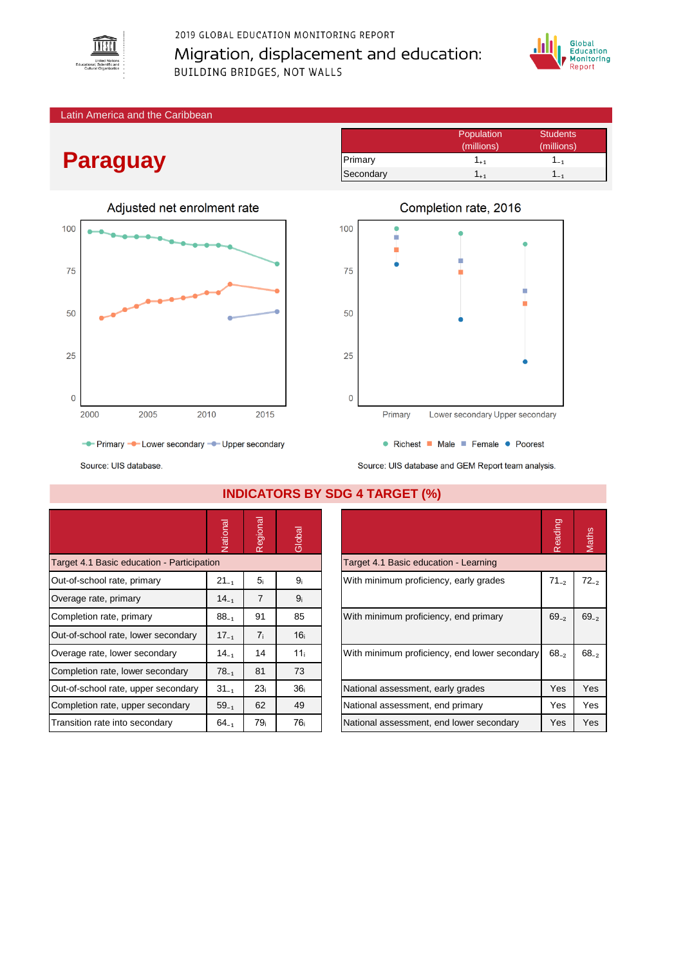

## 2019 GLOBAL EDUCATION MONITORING REPORT Migration, displacement and education: **BUILDING BRIDGES, NOT WALLS**



Latin America and the Caribbean

# **Paraguay**



- Primary - Lower secondary - Upper secondary





● Richest ■ Male ■ Female ● Poorest Source: UIS database and GEM Report team analysis.

Source: UIS database.

|                                            | Vational  | Regional        | Global          |                                               |                                          | Reading    | Maths     |
|--------------------------------------------|-----------|-----------------|-----------------|-----------------------------------------------|------------------------------------------|------------|-----------|
| Target 4.1 Basic education - Participation |           |                 |                 |                                               | Target 4.1 Basic education - Learning    |            |           |
| Out-of-school rate, primary                | $21_{-1}$ | 5 <sub>i</sub>  | 9ì              | With minimum proficiency, early grades        |                                          | $71_{-2}$  | $72_{-2}$ |
| Overage rate, primary                      | $14_{-1}$ | $\overline{7}$  | 9 <sub>i</sub>  |                                               |                                          |            |           |
| Completion rate, primary                   | $88_{-1}$ | 91              | 85              | With minimum proficiency, end primary         |                                          | $69_{-2}$  | $69_{-2}$ |
| Out-of-school rate, lower secondary        | $17_{-1}$ | 7 <sub>i</sub>  | 16 <sub>i</sub> |                                               |                                          |            |           |
| Overage rate, lower secondary              | $14_{-1}$ | 14              | 11 <sub>i</sub> | With minimum proficiency, end lower secondary |                                          | $68_{-2}$  | $68 - 7$  |
| Completion rate, lower secondary           | $78_{-1}$ | 81              | 73              |                                               |                                          |            |           |
| Out-of-school rate, upper secondary        | $31_{-1}$ | 23 <sub>i</sub> | 36 <sub>i</sub> | National assessment, early grades             |                                          | <b>Yes</b> | Yes       |
| Completion rate, upper secondary           | $59_{-1}$ | 62              | 49              | National assessment, end primary              |                                          | Yes        | Yes       |
| Transition rate into secondary             | $64_{-1}$ | 79 <sub>i</sub> | 76 <sub>i</sub> |                                               | National assessment, end lower secondary | Yes        | Yes       |

### **INDICATORS BY SDG 4 TARGET (%)**

|                                               | Reading   | laths     |
|-----------------------------------------------|-----------|-----------|
| Target 4.1 Basic education - Learning         |           |           |
| With minimum proficiency, early grades        | $71_{-2}$ | $72_{-2}$ |
| With minimum proficiency, end primary         | $69_{-2}$ | $69_{-2}$ |
| With minimum proficiency, end lower secondary | $68_{-2}$ | $68_{-2}$ |
| National assessment, early grades             | Yes       | Yes       |
| National assessment, end primary              | Yes       | Yes       |
| National assessment, end lower secondary      | Yes       | Yes       |
|                                               |           |           |